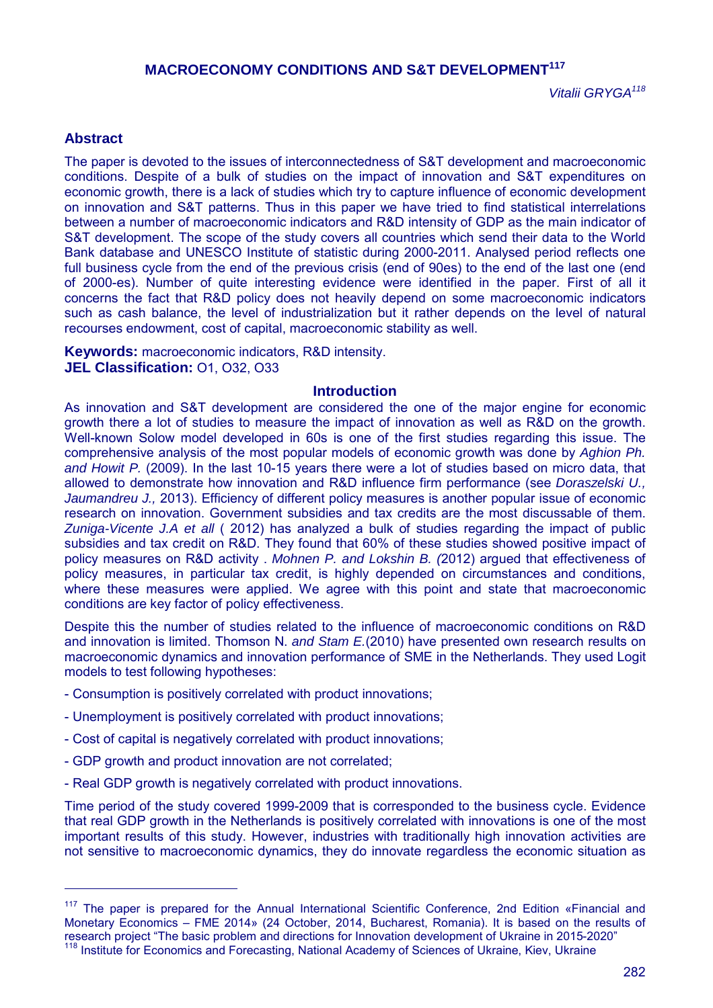# **MACROECONOMY CONDITIONS AND S&T DEVELOPMENT<sup>117</sup>**

*Vitalii GRYGA<sup>118</sup>*

## **Abstract**

 $\overline{a}$ 

The paper is devoted to the issues of interconnectedness of S&T development and macroeconomic conditions. Despite of a bulk of studies on the impact of innovation and S&T expenditures on economic growth, there is a lack of studies which try to capture influence of economic development on innovation and S&T patterns. Thus in this paper we have tried to find statistical interrelations between a number of macroeconomic indicators and R&D intensity of GDP as the main indicator of S&T development. The scope of the study covers all countries which send their data to the World Bank database and UNESCO Institute of statistic during 2000-2011. Analysed period reflects one full business cycle from the end of the previous crisis (end of 90es) to the end of the last one (end of 2000-es). Number of quite interesting evidence were identified in the paper. First of all it concerns the fact that R&D policy does not heavily depend on some macroeconomic indicators such as cash balance, the level of industrialization but it rather depends on the level of natural recourses endowment, cost of capital, macroeconomic stability as well.

**Keywords:** macroeconomic indicators, R&D intensity. **JEL Classification:** O1, O32, O33

#### **Introduction**

As innovation and S&T development are considered the one of the major engine for economic growth there a lot of studies to measure the impact of innovation as well as R&D on the growth. Well-known Solow model developed in 60s is one of the first studies regarding this issue. The comprehensive analysis of the most popular models of economic growth was done by *Aghion Ph. and Howit P.* (2009). In the last 10-15 years there were a lot of studies based on micro data, that allowed to demonstrate how innovation and R&D influence firm performance (see *Doraszelski U., Jaumandreu J.,* 2013). Efficiency of different policy measures is another popular issue of economic research on innovation. Government subsidies and tax credits are the most discussable of them. *Zuniga-Vicente J.A et all* ( 2012) has analyzed a bulk of studies regarding the impact of public subsidies and tax credit on R&D. They found that 60% of these studies showed positive impact of policy measures on R&D activity . *Mohnen P. and Lokshin B. (*2012) argued that effectiveness of policy measures, in particular tax credit, is highly depended on circumstances and conditions, where these measures were applied. We agree with this point and state that macroeconomic conditions are key factor of policy effectiveness.

Despite this the number of studies related to the influence of macroeconomic conditions on R&D and innovation is limited. Thomson N. *and Stam E.*(2010) have presented own research results on macroeconomic dynamics and innovation performance of SME in the Netherlands. They used Logit models to test following hypotheses:

- Consumption is positively correlated with product innovations;
- Unemployment is positively correlated with product innovations;
- Cost of capital is negatively correlated with product innovations;
- GDP growth and product innovation are not correlated;
- Real GDP growth is negatively correlated with product innovations.

Time period of the study covered 1999-2009 that is corresponded to the business cycle. Evidence that real GDP growth in the Netherlands is positively correlated with innovations is one of the most important results of this study. However, industries with traditionally high innovation activities are not sensitive to macroeconomic dynamics, they do innovate regardless the economic situation as

<sup>&</sup>lt;sup>117</sup> The paper is prepared for the Annual International Scientific Conference, 2nd Edition «Financial and Monetary Economics – FME 2014» (24 October, 2014, Bucharest, Romania). It is based on the results of research project "The basic problem and directions for Innovation development of Ukraine in 2015-2020" <sup>118</sup> Institute for Economics and Forecasting, National Academy of Sciences of Ukraine, Kiev, Ukraine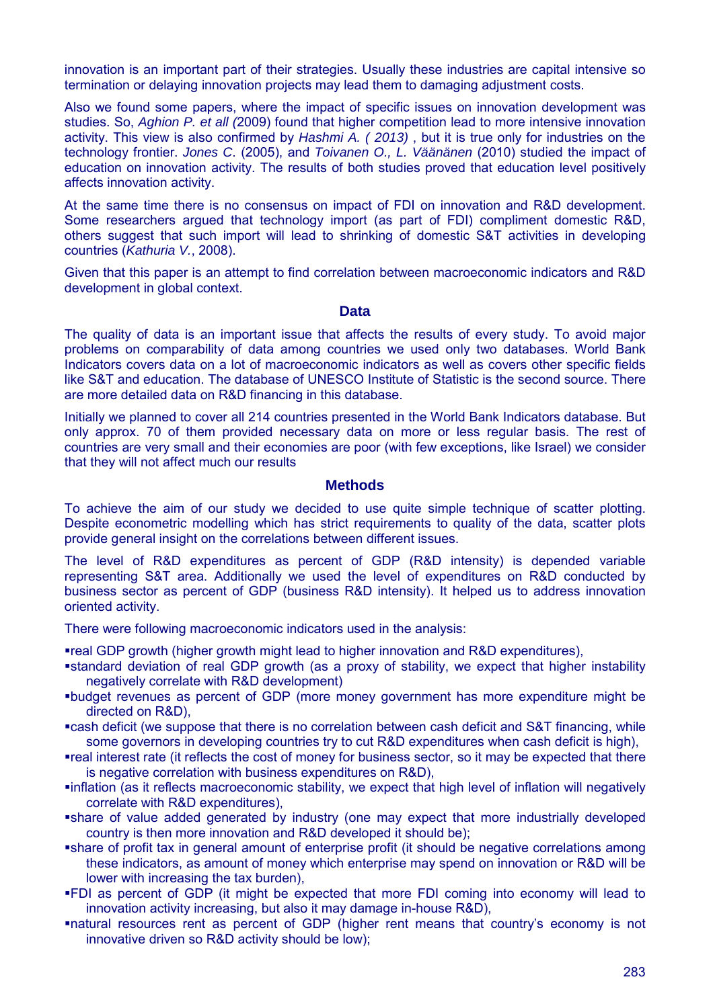innovation is an important part of their strategies. Usually these industries are capital intensive so termination or delaying innovation projects may lead them to damaging adjustment costs.

Also we found some papers, where the impact of specific issues on innovation development was studies. So, *Aghion P. et all (*2009) found that higher competition lead to more intensive innovation activity. This view is also confirmed by *Hashmi A. ( 2013)* , but it is true only for industries on the technology frontier. *Jones C*. (2005), and *Toivanen O., L. Väänänen* (2010) studied the impact of education on innovation activity. The results of both studies proved that education level positively affects innovation activity.

At the same time there is no consensus on impact of FDI on innovation and R&D development. Some researchers argued that technology import (as part of FDI) compliment domestic R&D, others suggest that such import will lead to shrinking of domestic S&T activities in developing countries (*Kathuria V.*, 2008).

Given that this paper is an attempt to find correlation between macroeconomic indicators and R&D development in global context.

#### **Data**

The quality of data is an important issue that affects the results of every study. To avoid major problems on comparability of data among countries we used only two databases. World Bank Indicators covers data on a lot of macroeconomic indicators as well as covers other specific fields like S&T and education. The database of UNESCO Institute of Statistic is the second source. There are more detailed data on R&D financing in this database.

Initially we planned to cover all 214 countries presented in the World Bank Indicators database. But only approx. 70 of them provided necessary data on more or less regular basis. The rest of countries are very small and their economies are poor (with few exceptions, like Israel) we consider that they will not affect much our results

### **Methods**

To achieve the aim of our study we decided to use quite simple technique of scatter plotting. Despite econometric modelling which has strict requirements to quality of the data, scatter plots provide general insight on the correlations between different issues.

The level of R&D expenditures as percent of GDP (R&D intensity) is depended variable representing S&T area. Additionally we used the level of expenditures on R&D conducted by business sector as percent of GDP (business R&D intensity). It helped us to address innovation oriented activity.

There were following macroeconomic indicators used in the analysis:

real GDP growth (higher growth might lead to higher innovation and R&D expenditures),

- standard deviation of real GDP growth (as a proxy of stability, we expect that higher instability negatively correlate with R&D development)
- budget revenues as percent of GDP (more money government has more expenditure might be directed on R&D),
- cash deficit (we suppose that there is no correlation between cash deficit and S&T financing, while some governors in developing countries try to cut R&D expenditures when cash deficit is high).
- real interest rate (it reflects the cost of money for business sector, so it may be expected that there is negative correlation with business expenditures on R&D).
- inflation (as it reflects macroeconomic stability, we expect that high level of inflation will negatively correlate with R&D expenditures),
- share of value added generated by industry (one may expect that more industrially developed country is then more innovation and R&D developed it should be);
- share of profit tax in general amount of enterprise profit (it should be negative correlations among these indicators, as amount of money which enterprise may spend on innovation or R&D will be lower with increasing the tax burden),
- FDI as percent of GDP (it might be expected that more FDI coming into economy will lead to innovation activity increasing, but also it may damage in-house R&D),
- natural resources rent as percent of GDP (higher rent means that country's economy is not innovative driven so R&D activity should be low);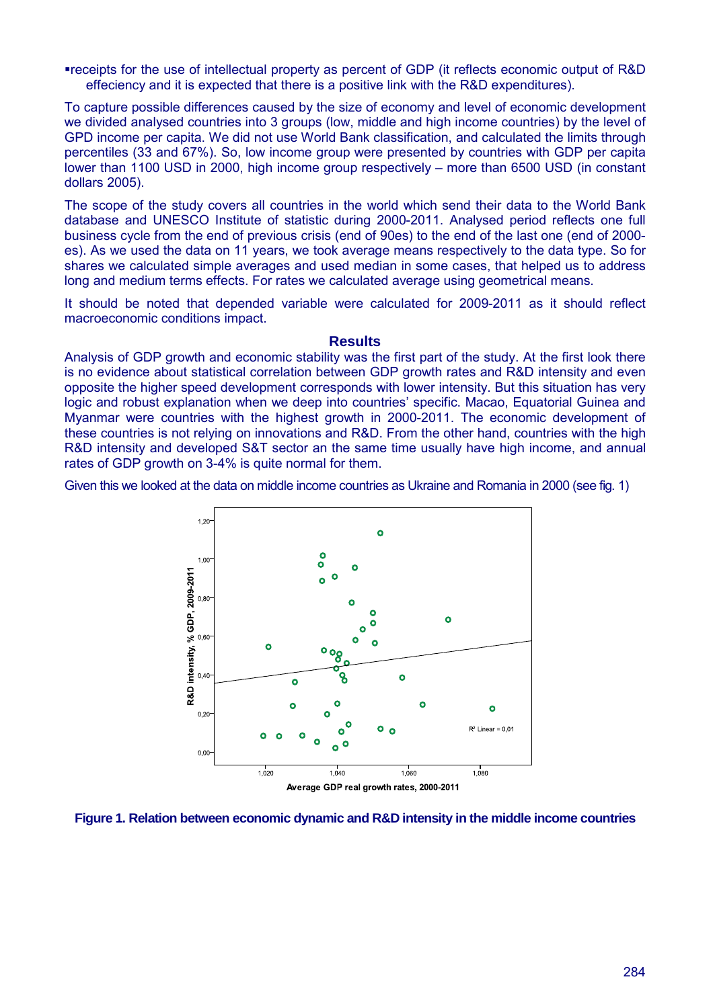receipts for the use of intellectual property as percent of GDP (it reflects economic output of R&D effeciency and it is expected that there is a positive link with the R&D expenditures).

To capture possible differences caused by the size of economy and level of economic development we divided analysed countries into 3 groups (low, middle and high income countries) by the level of GPD income per capita. We did not use World Bank classification, and calculated the limits through percentiles (33 and 67%). So, low income group were presented by countries with GDP per capita lower than 1100 USD in 2000, high income group respectively – more than 6500 USD (in constant dollars 2005).

The scope of the study covers all countries in the world which send their data to the World Bank database and UNESCO Institute of statistic during 2000-2011. Analysed period reflects one full business cycle from the end of previous crisis (end of 90es) to the end of the last one (end of 2000 es). As we used the data on 11 years, we took average means respectively to the data type. So for shares we calculated simple averages and used median in some cases, that helped us to address long and medium terms effects. For rates we calculated average using geometrical means.

It should be noted that depended variable were calculated for 2009-2011 as it should reflect macroeconomic conditions impact.

#### **Results**

Analysis of GDP growth and economic stability was the first part of the study. At the first look there is no evidence about statistical correlation between GDP growth rates and R&D intensity and even opposite the higher speed development corresponds with lower intensity. But this situation has very logic and robust explanation when we deep into countries' specific. Macao, Equatorial Guinea and Myanmar were countries with the highest growth in 2000-2011. The economic development of these countries is not relying on innovations and R&D. From the other hand, countries with the high R&D intensity and developed S&T sector an the same time usually have high income, and annual rates of GDP growth on 3-4% is quite normal for them.

Given this we looked at the data on middle income countries as Ukraine and Romania in 2000 (see fig. 1)



**Figure 1. Relation between economic dynamic and R&D intensity in the middle income countries**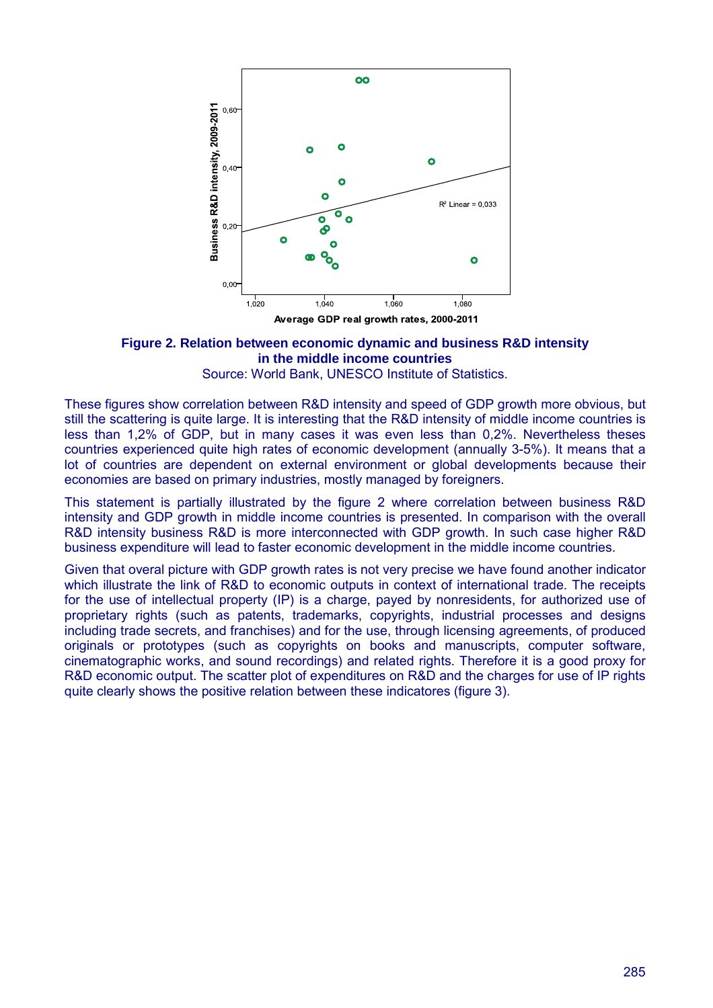

**Figure 2. Relation between economic dynamic and business R&D intensity in the middle income countries**

Source: World Bank, UNESCO Institute of Statistics.

These figures show correlation between R&D intensity and speed of GDP growth more obvious, but still the scattering is quite large. It is interesting that the R&D intensity of middle income countries is less than 1,2% of GDP, but in many cases it was even less than 0,2%. Nevertheless theses countries experienced quite high rates of economic development (annually 3-5%). It means that a lot of countries are dependent on external environment or global developments because their economies are based on primary industries, mostly managed by foreigners.

This statement is partially illustrated by the figure 2 where correlation between business R&D intensity and GDP growth in middle income countries is presented. In comparison with the overall R&D intensity business R&D is more interconnected with GDP growth. In such case higher R&D business expenditure will lead to faster economic development in the middle income countries.

Given that overal picture with GDP growth rates is not very precise we have found another indicator which illustrate the link of R&D to economic outputs in context of international trade. The receipts for the use of intellectual property (IP) is a charge, payed by nonresidents, for authorized use of proprietary rights (such as patents, trademarks, copyrights, industrial processes and designs including trade secrets, and franchises) and for the use, through licensing agreements, of produced originals or prototypes (such as copyrights on books and manuscripts, computer software, cinematographic works, and sound recordings) and related rights. Therefore it is a good proxy for R&D economic output. The scatter plot of expenditures on R&D and the charges for use of IP rights quite clearly shows the positive relation between these indicatores (figure 3).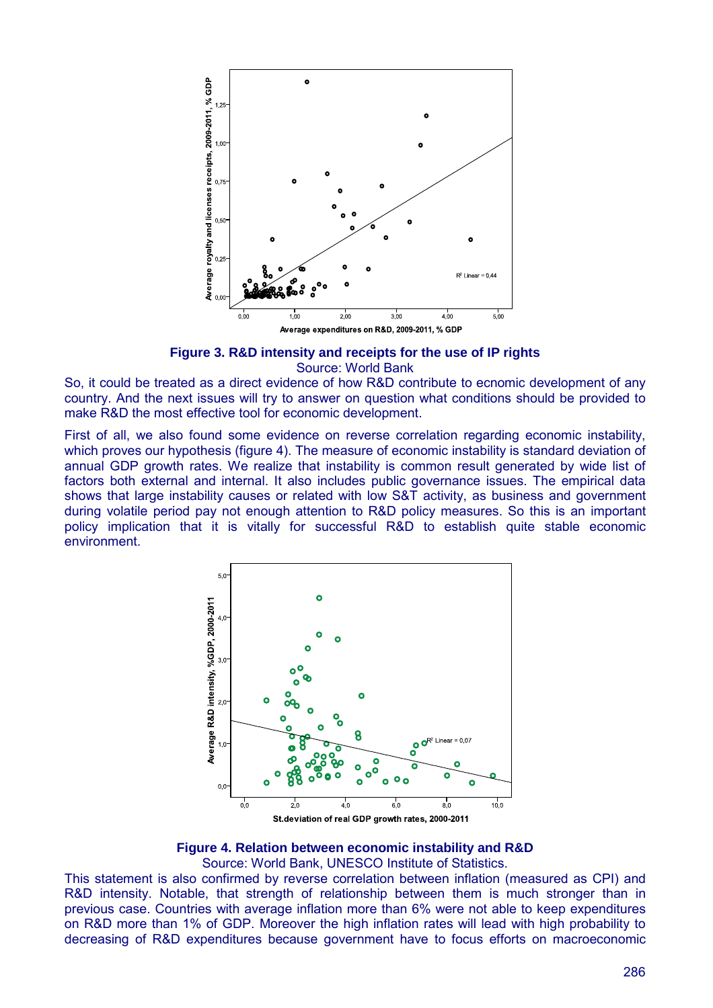

**Figure 3. R&D intensity and receipts for the use of IP rights** Source: World Bank

So, it could be treated as a direct evidence of how R&D contribute to ecnomic development of any country. And the next issues will try to answer on question what conditions should be provided to make R&D the most effective tool for economic development.

First of all, we also found some evidence on reverse correlation regarding economic instability, which proves our hypothesis (figure 4). The measure of economic instability is standard deviation of annual GDP growth rates. We realize that instability is common result generated by wide list of factors both external and internal. It also includes public governance issues. The empirical data shows that large instability causes or related with low S&T activity, as business and government during volatile period pay not enough attention to R&D policy measures. So this is an important policy implication that it is vitally for successful R&D to establish quite stable economic environment.



#### **Figure 4. Relation between economic instability and R&D**

Source: World Bank, UNESCO Institute of Statistics.

This statement is also confirmed by reverse correlation between inflation (measured as CPI) and R&D intensity. Notable, that strength of relationship between them is much stronger than in previous case. Countries with average inflation more than 6% were not able to keep expenditures on R&D more than 1% of GDP. Moreover the high inflation rates will lead with high probability to decreasing of R&D expenditures because government have to focus efforts on macroeconomic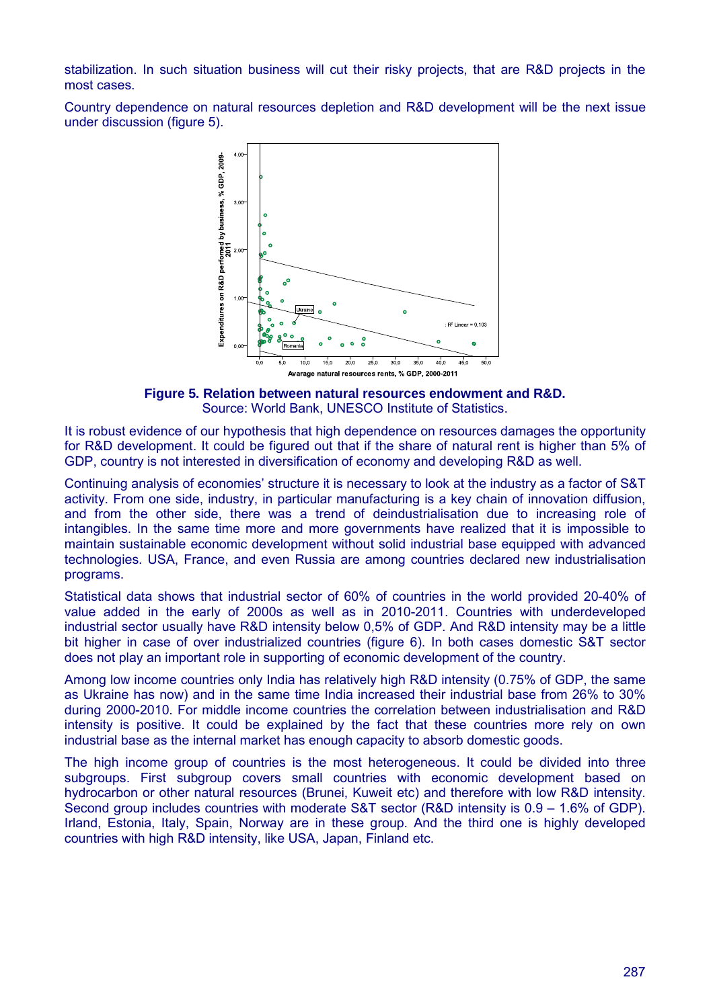stabilization. In such situation business will cut their risky projects, that are R&D projects in the most cases.

Country dependence on natural resources depletion and R&D development will be the next issue under discussion (figure 5).



**Figure 5. Relation between natural resources endowment and R&D.** Source: World Bank, UNESCO Institute of Statistics.

It is robust evidence of our hypothesis that high dependence on resources damages the opportunity for R&D development. It could be figured out that if the share of natural rent is higher than 5% of GDP, country is not interested in diversification of economy and developing R&D as well.

Continuing analysis of economies' structure it is necessary to look at the industry as a factor of S&T activity. From one side, industry, in particular manufacturing is a key chain of innovation diffusion, and from the other side, there was a trend of deindustrialisation due to increasing role of intangibles. In the same time more and more governments have realized that it is impossible to maintain sustainable economic development without solid industrial base equipped with advanced technologies. USA, France, and even Russia are among countries declared new industrialisation programs.

Statistical data shows that industrial sector of 60% of countries in the world provided 20-40% of value added in the early of 2000s as well as in 2010-2011. Countries with underdeveloped industrial sector usually have R&D intensity below 0,5% of GDP. And R&D intensity may be a little bit higher in case of over industrialized countries (figure 6). In both cases domestic S&T sector does not play an important role in supporting of economic development of the country.

Among low income countries only India has relatively high R&D intensity (0.75% of GDP, the same as Ukraine has now) and in the same time India increased their industrial base from 26% to 30% during 2000-2010. For middle income countries the correlation between industrialisation and R&D intensity is positive. It could be explained by the fact that these countries more rely on own industrial base as the internal market has enough capacity to absorb domestic goods.

The high income group of countries is the most heterogeneous. It could be divided into three subgroups. First subgroup covers small countries with economic development based on hydrocarbon or other natural resources (Brunei, Kuweit etc) and therefore with low R&D intensity. Second group includes countries with moderate S&T sector (R&D intensity is 0.9 – 1.6% of GDP). Irland, Estonia, Italy, Spain, Norway are in these group. And the third one is highly developed countries with high R&D intensity, like USA, Japan, Finland etc.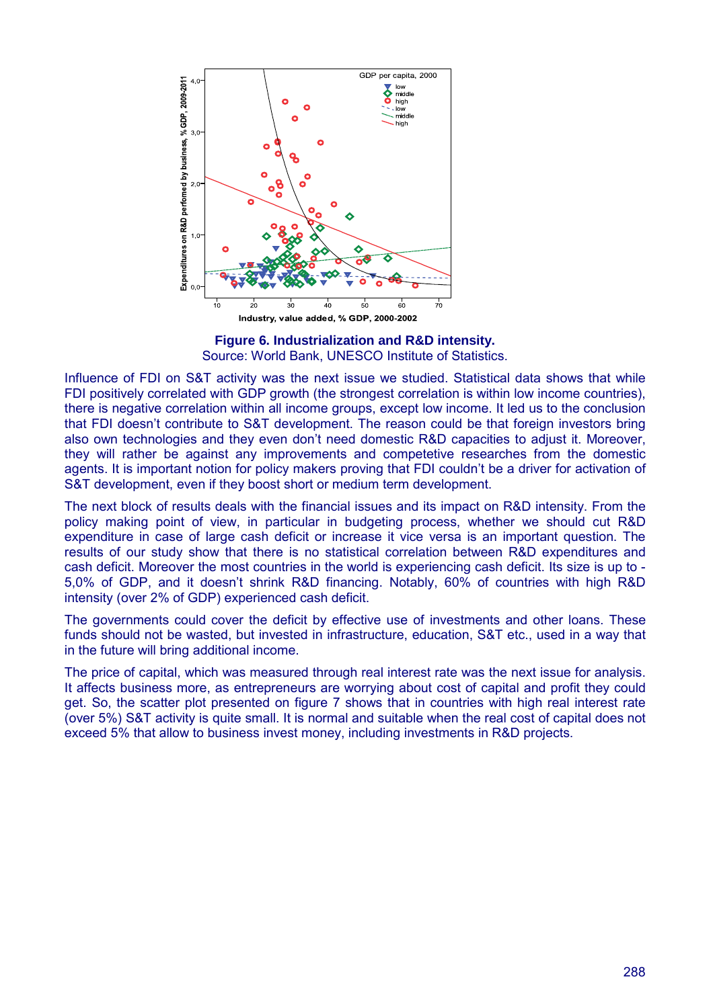

**Figure 6. Industrialization and R&D intensity.** Source: World Bank, UNESCO Institute of Statistics.

Influence of FDI on S&T activity was the next issue we studied. Statistical data shows that while FDI positively correlated with GDP growth (the strongest correlation is within low income countries), there is negative correlation within all income groups, except low income. It led us to the conclusion that FDI doesn't contribute to S&T development. The reason could be that foreign investors bring also own technologies and they even don't need domestic R&D capacities to adjust it. Moreover, they will rather be against any improvements and competetive researches from the domestic agents. It is important notion for policy makers proving that FDI couldn't be a driver for activation of S&T development, even if they boost short or medium term development.

The next block of results deals with the financial issues and its impact on R&D intensity. From the policy making point of view, in particular in budgeting process, whether we should cut R&D expenditure in case of large cash deficit or increase it vice versa is an important question. The results of our study show that there is no statistical correlation between R&D expenditures and cash deficit. Moreover the most countries in the world is experiencing cash deficit. Its size is up to - 5,0% of GDP, and it doesn't shrink R&D financing. Notably, 60% of countries with high R&D intensity (over 2% of GDP) experienced cash deficit.

The governments could cover the deficit by effective use of investments and other loans. These funds should not be wasted, but invested in infrastructure, education, S&T etc., used in a way that in the future will bring additional income.

The price of capital, which was measured through real interest rate was the next issue for analysis. It affects business more, as entrepreneurs are worrying about cost of capital and profit they could get. So, the scatter plot presented on figure 7 shows that in countries with high real interest rate (over 5%) S&T activity is quite small. It is normal and suitable when the real cost of capital does not exceed 5% that allow to business invest money, including investments in R&D projects.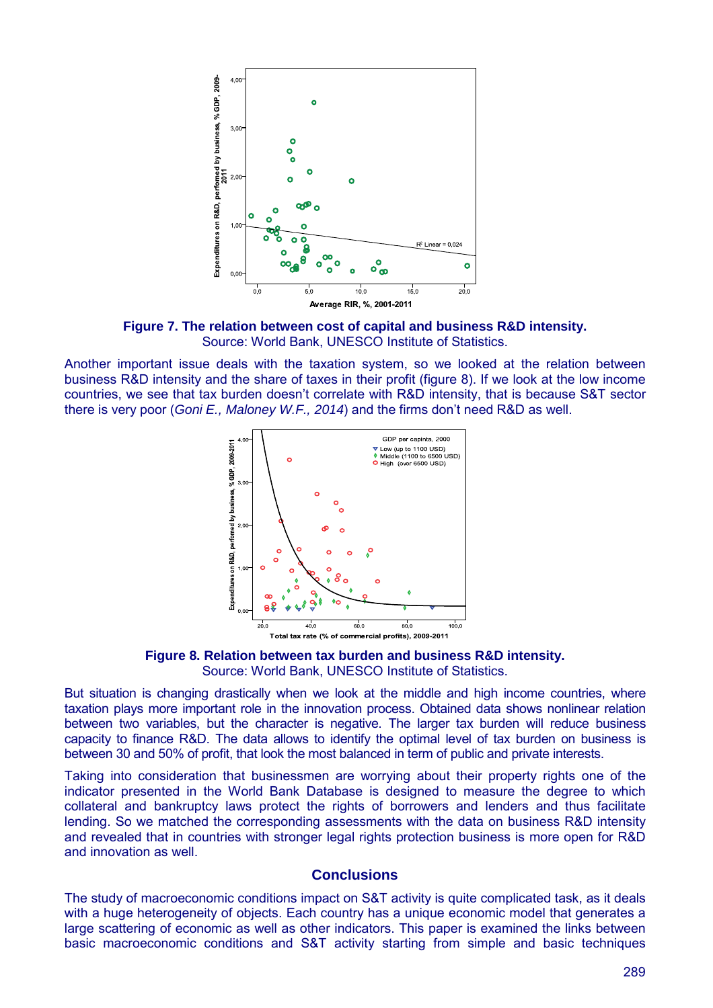

**Figure 7. The relation between cost of capital and business R&D intensity.** Source: World Bank, UNESCO Institute of Statistics.

Another important issue deals with the taxation system, so we looked at the relation between business R&D intensity and the share of taxes in their profit (figure 8). If we look at the low income countries, we see that tax burden doesn't correlate with R&D intensity, that is because S&T sector there is very poor (*Goni E., Maloney W.F., 2014*) and the firms don't need R&D as well.



Total tax rate (% of commercial profits), 2009-2011

**Figure 8. Relation between tax burden and business R&D intensity.** Source: World Bank, UNESCO Institute of Statistics.

But situation is changing drastically when we look at the middle and high income countries, where taxation plays more important role in the innovation process. Obtained data shows nonlinear relation between two variables, but the character is negative. The larger tax burden will reduce business capacity to finance R&D. The data allows to identify the optimal level of tax burden on business is between 30 and 50% of profit, that look the most balanced in term of public and private interests.

Taking into consideration that businessmen are worrying about their property rights one of the indicator presented in the World Bank Database is designed to measure the degree to which collateral and bankruptcy laws protect the rights of borrowers and lenders and thus facilitate lending. So we matched the corresponding assessments with the data on business R&D intensity and revealed that in countries with stronger legal rights protection business is more open for R&D and innovation as well.

## **Conclusions**

The study of macroeconomic conditions impact on S&T activity is quite complicated task, as it deals with a huge heterogeneity of objects. Each country has a unique economic model that generates a large scattering of economic as well as other indicators. This paper is examined the links between basic macroeconomic conditions and S&T activity starting from simple and basic techniques